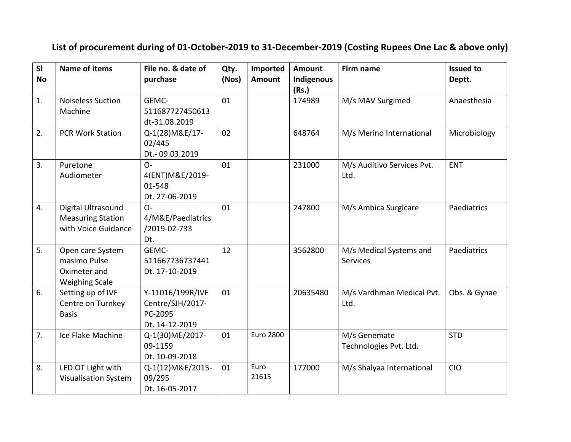## **List of procurement during of 01-October-2019 to 31-December-2019 (Costing Rupees One Lac & above only)**

| SI<br><b>No</b> | <b>Name of items</b>        | File no. & date of<br>purchase | Qty.<br>(Nos) | Imported<br><b>Amount</b> | <b>Amount</b><br>Indigenous | Firm name                  | <b>Issued to</b><br>Deptt. |
|-----------------|-----------------------------|--------------------------------|---------------|---------------------------|-----------------------------|----------------------------|----------------------------|
|                 |                             |                                |               |                           | (Rs.)                       |                            |                            |
| 1.              | <b>Noiseless Suction</b>    | GEMC-                          | 01            |                           | 174989                      | M/s MAV Surgimed           | Anaesthesia                |
|                 | Machine                     | 511687727450613                |               |                           |                             |                            |                            |
|                 |                             | dt-31.08.2019                  |               |                           |                             |                            |                            |
| 2.              | <b>PCR Work Station</b>     | Q-1(28) M&E/17-                | 02            |                           | 648764                      | M/s Merino International   | Microbiology               |
|                 |                             | 02/445                         |               |                           |                             |                            |                            |
|                 |                             | Dt.-09.03.2019                 |               |                           |                             |                            |                            |
| 3.              | Puretone                    | $O -$                          | 01            |                           | 231000                      | M/s Auditivo Services Pvt. | <b>ENT</b>                 |
|                 | Audiometer                  | 4(ENT)M&E/2019-                |               |                           |                             | Ltd.                       |                            |
|                 |                             | 01-548                         |               |                           |                             |                            |                            |
|                 |                             | Dt. 27-06-2019                 |               |                           |                             |                            |                            |
| 4.              | Digital Ultrasound          | $O -$                          | 01            |                           | 247800                      | M/s Ambica Surgicare       | Paediatrics                |
|                 | <b>Measuring Station</b>    | 4/M&E/Paediatrics              |               |                           |                             |                            |                            |
|                 | with Voice Guidance         | /2019-02-733                   |               |                           |                             |                            |                            |
|                 |                             | Dt.                            |               |                           |                             |                            |                            |
| 5.              | Open care System            | GEMC-                          | 12            |                           | 3562800                     | M/s Medical Systems and    | Paediatrics                |
|                 | masimo Pulse                | 511667736737441                |               |                           |                             | <b>Services</b>            |                            |
|                 | Oximeter and                | Dt. 17-10-2019                 |               |                           |                             |                            |                            |
|                 | <b>Weighing Scale</b>       |                                |               |                           |                             |                            |                            |
| 6.              | Setting up of IVF           | Y-11016/199R/IVF               | 01            |                           | 20635480                    | M/s Vardhman Medical Pvt.  | Obs. & Gynae               |
|                 | Centre on Turnkey           | Centre/SJH/2017-               |               |                           |                             | Ltd.                       |                            |
|                 | <b>Basis</b>                | PC-2095                        |               |                           |                             |                            |                            |
|                 |                             | Dt. 14-12-2019                 |               |                           |                             |                            |                            |
| 7.              | Ice Flake Machine           | Q-1(30)ME/2017-                | 01            | <b>Euro 2800</b>          |                             | M/s Genemate               | <b>STD</b>                 |
|                 |                             | 09-1159                        |               |                           |                             | Technologies Pvt. Ltd.     |                            |
|                 |                             | Dt. 10-09-2018                 |               |                           |                             |                            |                            |
| 8.              | LED OT Light with           | Q-1(12) M&E/2015-              | 01            | Euro                      | 177000                      | M/s Shalyaa International  | <b>CIO</b>                 |
|                 | <b>Visualisation System</b> | 09/295                         |               | 21615                     |                             |                            |                            |
|                 |                             | Dt. 16-05-2017                 |               |                           |                             |                            |                            |